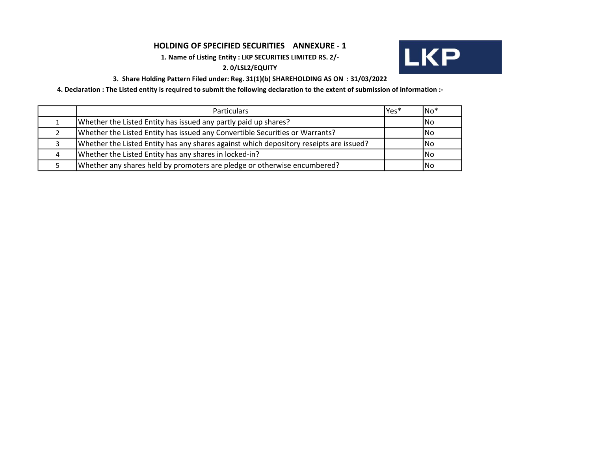# HOLDING OF SPECIFIED SECURITIES ANNEXURE - 1

1. Name of Listing Entity : LKP SECURITIES LIMITED RS. 2/-

# 2. 0/LSL2/EQUITY



## 3. Share Holding Pattern Filed under: Reg. 31(1)(b) SHAREHOLDING AS ON : 31/03/2022

4. Declaration : The Listed entity is required to submit the following declaration to the extent of submission of information :-

| <b>Particulars</b>                                                                     | lYes* | lNo* |
|----------------------------------------------------------------------------------------|-------|------|
| Whether the Listed Entity has issued any partly paid up shares?                        |       | lNo  |
| Whether the Listed Entity has issued any Convertible Securities or Warrants?           |       | lNo  |
| Whether the Listed Entity has any shares against which depository reseipts are issued? |       | lNo  |
| Whether the Listed Entity has any shares in locked-in?                                 |       | lNo  |
| Whether any shares held by promoters are pledge or otherwise encumbered?               |       | ۱No  |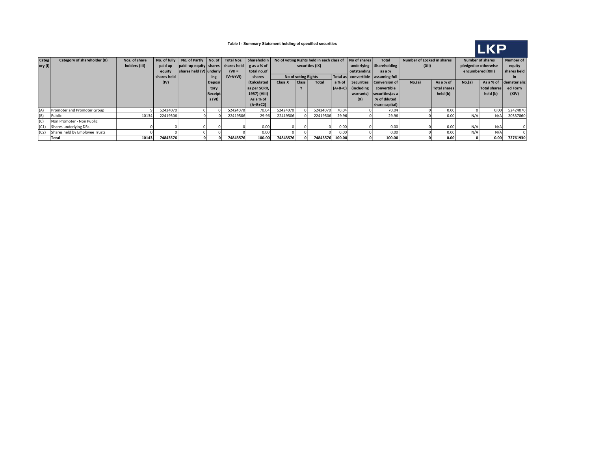

#### Table I - Summary Statement holding of specified securities

| <b>Categ</b>    | Category of shareholder (II)   | Nos. of share |             | No. of fully $\vert$ No. of Partly $\vert$ No. of $\vert$ |                |           | Total Nos.   Shareholdin |          |                     |                 | No of voting Rights held in each class of<br>No of shares<br><b>Total</b> |                                        |                             | Number of Locked in shares |                     | <b>Number of shares</b> |              | Number of    |
|-----------------|--------------------------------|---------------|-------------|-----------------------------------------------------------|----------------|-----------|--------------------------|----------|---------------------|-----------------|---------------------------------------------------------------------------|----------------------------------------|-----------------------------|----------------------------|---------------------|-------------------------|--------------|--------------|
| $ $ ory (I) $ $ |                                | holders (III) | paid up     | $ $ paid -up equity shares shares held $ $ g as a % of    |                |           |                          |          |                     | securities (IX) |                                                                           |                                        | underlying $ $ Shareholding | (XII)                      |                     | pledged or otherwise    |              | equity       |
|                 |                                |               | equity      | shares held (V) underly                                   |                | $(VII =$  | total no.of              |          |                     |                 |                                                                           | outstanding                            | as a %                      |                            |                     | encumbered (XIII)       |              | shares held  |
|                 |                                |               | shares held |                                                           | ing            | $IV+V+VI$ | shares                   |          | No of voting Rights |                 |                                                                           | Total as   convertible   assuming full |                             |                            |                     |                         |              |              |
|                 |                                |               | (IV)        |                                                           | <b>Deposi</b>  |           | (Calculated              | Class X  | Class               | <b>Total</b>    | a % of                                                                    |                                        | Securities   Conversion of  | No.(a)                     | As a % of           | No.(a)                  | As a % of    | dematerializ |
|                 |                                |               |             |                                                           | tory           |           | as per SCRR,             |          |                     |                 | $ (A+B+C) $                                                               | (including)                            | convertible                 |                            | <b>Total shares</b> |                         | Total shares | ed Form      |
|                 |                                |               |             |                                                           | <b>Receipt</b> |           | 1957) (VIII)             |          |                     |                 |                                                                           | warrants)                              | securities (as a            |                            | held (b)            |                         | held (b)     | (XIV)        |
|                 |                                |               |             |                                                           | s (VI)         |           | As a % of                |          |                     |                 |                                                                           | (X)                                    | % of diluted                |                            |                     |                         |              |              |
|                 |                                |               |             |                                                           |                |           | $(A+B+C2)$               |          |                     |                 |                                                                           |                                        | share capital)              |                            |                     |                         |              |              |
| (A)             | Promoter and Promoter Group    |               | 52424070    |                                                           |                | 52424070  | 70.04                    | 52424070 |                     | 52424070        | 70.04                                                                     |                                        | 70.04                       |                            | 0.00                |                         | 0.00         | 52424070     |
| (B)             | Public                         | 10134         | 22419506    |                                                           |                | 22419506  | 29.96                    | 22419506 |                     | 22419506        | 29.96                                                                     |                                        | 29.96                       |                            | 0.00                | N/A                     | N/A          | 20337860     |
| (C)             | Non Promoter - Non Public      |               |             |                                                           |                |           |                          |          |                     |                 |                                                                           |                                        |                             |                            |                     |                         |              |              |
| (C1)            | Shares underlying DRs          |               |             |                                                           |                |           | 0.00                     |          |                     |                 | 0.00                                                                      |                                        | 0.00                        |                            | 0.00                | N/A                     | N/A          |              |
| (C2)            | Shares held by Employee Trusts |               |             |                                                           |                |           | 0.00                     |          |                     |                 | 0.00                                                                      |                                        | 0.00                        |                            | 0.00                | N/A                     | N/A          |              |
|                 | Total                          | 10143         | 74843576    |                                                           |                | 74843576  | 100.00                   | 74843576 |                     | 74843576 100.00 |                                                                           |                                        | 100.00                      |                            | 0.00                |                         | 0.00         | 72761930     |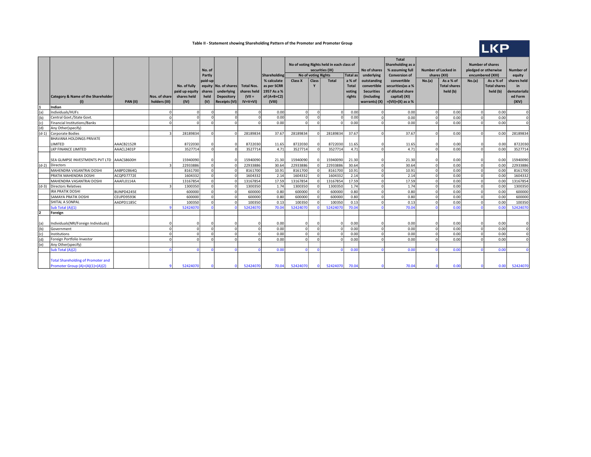#### Table II - Statement showing Shareholding Pattern of the Promoter and Promoter Group



|         |                                            |            |                |                | No. of<br>Partly |                      |                       | Shareholding<br>% calculate | Class X  | No of voting Rights | No of voting Rights held in each class of<br>securities (IX)<br><b>Total</b> | Total as     | No of shares<br>underlying | <b>Total</b><br>Shareholding as a<br>% assuming full<br>Number of Locked in<br><b>Conversion of</b><br>shares (XII) |            |                                  | <b>Number of shares</b><br>pledged or otherwise<br>encumbered (XIII) |                     | Number of<br>equity |
|---------|--------------------------------------------|------------|----------------|----------------|------------------|----------------------|-----------------------|-----------------------------|----------|---------------------|------------------------------------------------------------------------------|--------------|----------------------------|---------------------------------------------------------------------------------------------------------------------|------------|----------------------------------|----------------------------------------------------------------------|---------------------|---------------------|
|         |                                            |            |                |                | paid-up          |                      |                       |                             |          | Class               |                                                                              | a % of       | outstanding                | convertible                                                                                                         | No.(a)     | As a % of<br><b>Total shares</b> | No.(a)                                                               | As a % of           | shares held         |
|         |                                            |            |                | No. of fully   | equity           | No. of shares        | <b>Total Nos.</b>     | as per SCRR                 |          |                     |                                                                              | <b>Total</b> | convertible                | securities(as a %                                                                                                   |            |                                  |                                                                      | <b>Total shares</b> | in                  |
|         |                                            |            |                | paid up equity | shares           | underlying           | shares held           | 1957 As a %                 |          |                     |                                                                              | voting       | <b>Securities</b>          | of diluted share                                                                                                    |            | held (b)                         |                                                                      | held (b)            | dematerializ        |
|         | Category & Name of the Shareholder         |            | Nos. of share  | shares held    | held<br>(V)      | <b>Depository</b>    | $(VII =$<br>$IV+V+VI$ | of $(A+B+C2)$               |          |                     |                                                                              | rights       | (including                 | capital) (XI)                                                                                                       |            |                                  |                                                                      |                     | ed Form             |
|         | Indian                                     | PAN(II)    | holders (III)  | (IV)           |                  | <b>Receipts (VI)</b> |                       | (VIII)                      |          |                     |                                                                              |              | warrants) (X)              | $=(VII)+(X)$ as a %                                                                                                 |            |                                  |                                                                      |                     | (XIV)               |
| (a)     | Individuals/HUFs                           |            | $\Omega$       |                |                  |                      |                       | 0.00                        |          |                     | $\Omega$                                                                     | 0.00         |                            | 0.00                                                                                                                |            | 0.00                             | $\Omega$                                                             | 0.00                | $\mathbf 0$         |
| (b)     | Central Govt./State Govt.                  |            | $\Omega$       |                | $\Omega$         |                      |                       | 0.00                        |          |                     | $\Omega$                                                                     | 0.00         | n                          | 0.00                                                                                                                |            | 0.00                             | $\Omega$                                                             | 0.00                | $\Omega$            |
| (c)     | Financial Institutions/Banks               |            | $\Omega$       |                | $\Omega$         | $\Omega$             |                       | 0.00                        |          |                     |                                                                              | 0.00         |                            | 0.00                                                                                                                |            | 0.00                             | $\Omega$                                                             | 0.00                | $\Omega$            |
| (d)     | Any Other(specify)                         |            |                |                |                  |                      |                       |                             |          |                     |                                                                              |              |                            |                                                                                                                     |            |                                  |                                                                      |                     |                     |
| $(d-1)$ | Corporate Bodies                           |            | $\overline{3}$ | 28189834       | $\Omega$         |                      | 28189834              | 37.67                       | 28189834 |                     | 28189834                                                                     | 37.67        |                            | 37.67                                                                                                               | £          | 0.00                             | $\Omega$                                                             | 0.00                | 28189834            |
|         | <b>BHAVANA HOLDINGS PRIVATE</b>            |            |                |                |                  |                      |                       |                             |          |                     |                                                                              |              |                            |                                                                                                                     |            |                                  |                                                                      |                     |                     |
|         | LIMITED                                    | AAACB2152R |                | 8722030        | $\Omega$         |                      | 8722030               | 11.65                       | 8722030  |                     | 8722030                                                                      | 11.65        |                            | 11.65                                                                                                               |            | 0.00                             |                                                                      | 0.00                | 8722030             |
|         | LKP FINANCE LIMITED                        | AAACL2401P |                | 3527714        | $\Omega$         |                      | 3527714               | 4.71                        | 3527714  |                     | 3527714                                                                      | 4.71         | $\Omega$                   | 4.71                                                                                                                | r          | 0.00                             | $\Omega$                                                             | 0.00                | 3527714             |
|         |                                            |            |                |                |                  |                      |                       |                             |          |                     |                                                                              |              |                            |                                                                                                                     |            |                                  |                                                                      |                     |                     |
|         | SEA GLIMPSE INVESTMENTS PVT LTD AAACS8600H |            |                | 15940090       | n                |                      | 15940090              | 21.30                       | 15940090 |                     | 15940090                                                                     | 21.30        |                            | 21.30                                                                                                               |            | 0.00                             | $\Omega$                                                             | 0.00                | 15940090            |
| $(d-2)$ | Directors                                  |            | $\mathbf{z}$   | 22933886       | ΩI               |                      | 22933886              | 30.64                       | 22933886 |                     | 22933886                                                                     | 30.64        | $\Omega$                   | 30.64                                                                                                               | $\sqrt{ }$ | 0.00                             | $\Omega$                                                             | 0.00                | 22933886            |
|         | MAHENDRA VASANTRAI DOSHI                   | AABPD2864Q |                | 8161700        | ΩI               |                      | 8161700               | 10.91                       | 8161700  |                     | 8161700                                                                      | 10.91        | <sup>n</sup>               | 10.91                                                                                                               | $\Omega$   | 0.00                             | $\Omega$                                                             | 0.00                | 8161700             |
|         | PRATIK MAHENDRA DOSHI                      | ACQPD7772E |                | 1604332        | ΩI               |                      | 1604332               | 2.14                        | 1604332  |                     | 1604332                                                                      | 2.14         | O                          | 2.14                                                                                                                | $\Omega$   | 0.00                             | $\mathbf 0$                                                          | 0.00                | 1604332             |
|         | MAHENDRA VASANTRAI DOSHI                   | AAAFL0114A |                | 13167854       | 0                |                      | 13167854              | 17.59                       | 13167854 | $\sqrt{ }$          | 13167854                                                                     | 17.59        | n                          | 17.59                                                                                                               | $\sqrt{2}$ | 0.00                             | $\mathbf 0$                                                          | 0.00                | 13167854            |
| $(d-3)$ | Directors Relatives                        |            | $\mathbf{R}$   | 1300350        | ΩI               |                      | 1300350               | 1.74                        | 1300350  | $\sqrt{ }$          | 1300350                                                                      | 1.74         | n                          | 1.74                                                                                                                | $\Omega$   | 0.00                             | $\Omega$                                                             | 0.00                | 1300350             |
|         | <b>IRA PRATIK DOSHI</b>                    | BUNPD4245E |                | 600000         | $\Omega$         |                      | 600000                | 0.80                        | 600000   |                     | 600000                                                                       | 0.80         | n                          | 0.80                                                                                                                | $\Omega$   | 0.00                             | $\Omega$                                                             | 0.00                | 600000              |
|         | <b>SAMAYA PRATIK DOSHI</b>                 | CEUPD9593K |                | 600000         | $\Omega$         | $\Omega$             | 600000                | 0.80                        | 600000   |                     | 600000                                                                       | 0.80         | n                          | 0.80                                                                                                                | $\Omega$   | 0.00                             | $\Omega$                                                             | 0.00                | 600000              |
|         | <b>SHITAL A SONPAL</b>                     | AADPD1185C |                | 100350         | $\Omega$         | $\Omega$             | 100350                | 0.13                        | 100350   |                     | 100350                                                                       | 0.13         | n                          | 0.13                                                                                                                | $\Omega$   | 0.00                             | $\Omega$                                                             | 0.00                | 100350              |
|         | Sub Total (A)(1)                           |            |                | 52424070       | $\Omega$         |                      | 52424070              | 70.04                       | 52424070 |                     | 52424070                                                                     | 70.04        |                            | 70.04                                                                                                               |            | 0.00                             | $\Omega$                                                             | 0.00                | 52424070            |
|         | Foreign                                    |            |                |                |                  |                      |                       |                             |          |                     |                                                                              |              |                            |                                                                                                                     |            |                                  |                                                                      |                     |                     |
|         |                                            |            |                |                |                  |                      |                       |                             |          |                     |                                                                              |              |                            |                                                                                                                     |            |                                  |                                                                      |                     |                     |
| (a)     | Individuals(NRI/Foreign Individuals)       |            |                |                | $\Omega$         | $\Omega$             |                       | 0.00                        |          |                     | O                                                                            | 0.00         |                            | 0.00                                                                                                                |            | 0.00                             | $\Omega$                                                             | 0.00                | $\Omega$            |
| (b)     | Government                                 |            | $\Omega$       | $\Omega$       | $\Omega$         | n.                   | $\Omega$              | 0.00                        | $\Omega$ | $\sqrt{ }$          | ΩI                                                                           | 0.00         | n                          | 0.00                                                                                                                | $\Omega$   | 0.00                             | $\Omega$                                                             | 0.00                | $\Omega$            |
| (c)     | Institutions                               |            | $\Omega$       |                | $\Omega$         | $\Omega$             | $\Omega$              | 0.00                        |          |                     | $\Omega$                                                                     | 0.00         |                            | 0.00                                                                                                                |            | 0.00                             | $\Omega$                                                             | 0.00                | $\Omega$            |
| (d)     | Foreign Portfolio Investor                 |            | $\Omega$       | $\Omega$       | $\Omega$         | $\Omega$             |                       | 0.00                        |          | $\sqrt{ }$          | $\Omega$                                                                     | 0.00         | n                          | 0.00                                                                                                                | $\Omega$   | 0.00                             | $\Omega$                                                             | 0.00                | $\Omega$            |
| (e)     | Any Other(specify)                         |            |                |                |                  |                      |                       |                             |          |                     |                                                                              |              |                            |                                                                                                                     |            |                                  |                                                                      |                     |                     |
|         | Sub Total (A)(2)                           |            | $\Omega$       |                | $\sqrt{2}$       |                      |                       | 0.00                        |          |                     |                                                                              | 0.00         |                            | 0.00                                                                                                                |            | 0.00                             | $\sqrt{ }$                                                           | 0.00                | $\Omega$            |
|         | <b>Total Shareholding of Promoter and</b>  |            |                |                |                  |                      |                       |                             |          |                     |                                                                              |              |                            |                                                                                                                     |            |                                  |                                                                      |                     |                     |
|         | Promoter Group (A)=(A)(1)+(A)(2)           |            |                | 52424070       |                  |                      | 52424070              | 70.04                       | 52424070 |                     | 52424070                                                                     | 70.04        |                            | 70.04                                                                                                               |            | 0.00                             |                                                                      | 0.00                | 52424070            |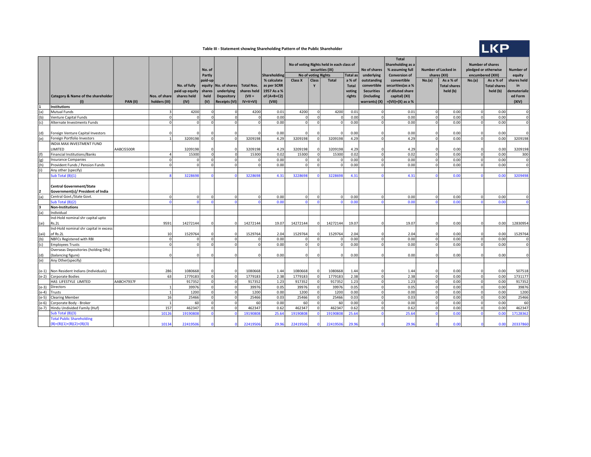## Table III - Statement showing Shareholding Pattern of the Public Shareholder



|             |                                               |            |                |                |                |                      |                   |               | No of voting Rights held in each class of |                                               |                 |              |                      | <b>Total</b><br>Shareholding as a |                                   |                     | <b>Number of shares</b> |                     |                  |  |
|-------------|-----------------------------------------------|------------|----------------|----------------|----------------|----------------------|-------------------|---------------|-------------------------------------------|-----------------------------------------------|-----------------|--------------|----------------------|-----------------------------------|-----------------------------------|---------------------|-------------------------|---------------------|------------------|--|
|             |                                               |            |                |                | No. of         |                      |                   |               |                                           |                                               | securities (IX) |              | No of shares         | % assuming full                   | <b>Number of Locked in</b>        |                     | pledged or otherwise    |                     | <b>Number of</b> |  |
|             |                                               |            |                |                | Partly         |                      |                   | Shareholding  |                                           | <b>Total</b> as<br><b>No of voting Rights</b> |                 | underlying   | <b>Conversion of</b> |                                   | shares (XII)<br>encumbered (XIII) |                     |                         | equity              |                  |  |
|             |                                               |            |                |                | paid-up        |                      |                   | % calculate   | Class X                                   | Class                                         | <b>Total</b>    | a % of       | outstanding          | convertible                       | No.(a)                            | As a % of           | No.(a)                  | As a % of           | shares held      |  |
|             |                                               |            |                | No. of fully   | equity         | No. of shares        | <b>Total Nos.</b> | as per SCRR   |                                           | Y                                             |                 | <b>Total</b> | convertible          | securities (as a %                |                                   | <b>Total shares</b> |                         | <b>Total shares</b> | in               |  |
|             |                                               |            |                | paid up equity | shares         | underlying           | shares held       | 1957 As a %   |                                           |                                               |                 | voting       | <b>Securities</b>    | of diluted share                  |                                   | held (b)            |                         | held (b)            | dematerializ     |  |
|             | <b>Category &amp; Name of the shareholder</b> |            | Nos. of share  | shares held    | held           | <b>Depository</b>    | $(VII =$          | of $(A+B+C2)$ |                                           |                                               |                 | rights       | (including           | capital) (XI)                     |                                   |                     |                         |                     | ed Form          |  |
|             | $\mathbf{u}$                                  | PAN(II)    | holders (III)  | (IV)           | (V)            | <b>Receipts (VI)</b> | $IV+V+VI$         | (VIII)        |                                           |                                               |                 |              | warrants) (X)        | $=(VII)+(X)$ as a %               |                                   |                     |                         |                     | (XIV)            |  |
| $\mathbf 1$ | <b>Institutions</b>                           |            |                |                |                |                      |                   |               |                                           |                                               |                 |              |                      |                                   |                                   |                     |                         |                     |                  |  |
| (a)         | Mutual Funds                                  |            | 3              | 4200           |                |                      | 4200              | 0.01          | 4200                                      | $\Omega$                                      | 4200            | 0.01         | $\Omega$             | 0.01                              | $\Omega$                          | 0.00                | $\Omega$                | 0.00                | $\Omega$         |  |
| (b)         | <b>Venture Capital Funds</b>                  |            | $\Omega$       |                | $\Omega$       | nl                   | $\Omega$          | 0.00          |                                           | $\Omega$                                      | $\Omega$        | 0.00         | $\overline{0}$       | 0.00                              | $\Omega$                          | 0.00                | $\Omega$                | 0.00                | $\overline{0}$   |  |
| (c)         | Alternate Investments Funds                   |            | $\Omega$       | $\Omega$       | $\Omega$       | <sub>n</sub>         | $\Omega$          | 0.00          | $\Omega$                                  | $\Omega$                                      | $\Omega$        | 0.00         | 0                    | 0.00                              | $\mathfrak{0}$                    | 0.00                | $\Omega$                | 0.00                | $\overline{0}$   |  |
|             |                                               |            |                |                |                |                      |                   |               |                                           |                                               |                 |              |                      |                                   |                                   |                     |                         |                     |                  |  |
| (d)         | Foreign Venture Capital Investors             |            | $\Omega$       |                |                |                      |                   | 0.00          | $\Omega$                                  |                                               | $\Omega$        | 0.00         | $\Omega$             | 0.00                              | $\Omega$                          | 0.00                | $\Omega$                | 0.00                | $\Omega$         |  |
| (e)         | Foreign Portfolio Investors                   |            | 1              | 3209198        | $\Omega$       | $\Omega$             | 3209198           | 4.29          | 3209198                                   | $\circ$                                       | 3209198         | 4.29         | 0                    | 4.29                              | 0                                 | 0.00                | $\Omega$                | 0.00                | 3209198          |  |
|             | INDIA MAX INVESTMENT FUND                     |            |                |                |                |                      |                   |               |                                           |                                               |                 |              |                      |                                   |                                   |                     |                         |                     |                  |  |
|             | LIMITED                                       | AABCI5500R |                | 3209198        | $\Omega$       |                      | 3209198           | 4.29          | 3209198                                   | $\Omega$                                      | 3209198         | 4.29         | $\mathbf 0$          | 4.29                              | $\Omega$                          | 0.00                | $\Omega$                | 0.00                | 3209198          |  |
| (f)         | <b>Financial Institutions/Banks</b>           |            | $\Delta$       | 15300          | - ol           | nl                   | 15300             | 0.02          | 15300                                     | -ol                                           | 15300           | 0.02         | $\circ$              | 0.02                              | 0I                                | 0.00                | $\Omega$                | 0.00                | 300              |  |
| (g)         | <b>Insurance Companies</b>                    |            | $\mathbf 0$    | $\Omega$       | $\Omega$       | $\Omega$             | 0                 | 0.00          | $\Omega$                                  | 0                                             | $\Omega$        | 0.00         | 0                    | 0.00                              | 0                                 | 0.00                | $\mathbf 0$             | 0.00                | $\overline{0}$   |  |
| (h)         | Provident Funds / Pension Funds               |            | $\Omega$       | $\Omega$       | $\Omega$       | ΩI                   | $\Omega$          | 0.00          | $\Omega$                                  | $\Omega$                                      | $\Omega$        | 0.00         | 0                    | 0.00                              | <sub>0</sub>                      | 0.00                | $\Omega$                | 0.00                | $\overline{0}$   |  |
| (i)         | Any other (specify)                           |            |                |                |                |                      |                   |               |                                           |                                               |                 |              |                      |                                   |                                   |                     |                         |                     |                  |  |
|             | Sub Total (B)(1)                              |            |                | 322869         |                |                      | 3228698           | 4.31          | 322869                                    | $\Omega$                                      | 3228698         | 4.31         | $\Omega$             | 4.31                              |                                   | 0.00                |                         | 0.00                | 3209498          |  |
|             |                                               |            |                |                |                |                      |                   |               |                                           |                                               |                 |              |                      |                                   |                                   |                     |                         |                     |                  |  |
|             | <b>Central Government/State</b>               |            |                |                |                |                      |                   |               |                                           |                                               |                 |              |                      |                                   |                                   |                     |                         |                     |                  |  |
| 2           | Government(s)/ President of India             |            | $\Omega$       | $\Omega$       | $\Omega$       | $\Omega$             | $\circ$           | 0.00          | $\overline{0}$                            | $\Omega$                                      | $\Omega$        | 0.00         | 0                    | 0.00                              | ol                                | 0.00                | $\Omega$                | 0.00                | $\Omega$         |  |
| (a)         | Central Govt./State Govt.<br>Sub Total (B)(2) |            | $\Omega$       | $\Omega$       | $\sqrt{2}$     |                      | $\Omega$          | 0.00          | $\Omega$                                  | $\Omega$                                      | $\Omega$        | 0.00         | $\Omega$             | 0.00                              | n.                                | 0.00                |                         | 0.00                | $\Omega$         |  |
| 3           | <b>Non-Institutions</b>                       |            |                |                |                |                      |                   |               |                                           |                                               |                 |              |                      |                                   |                                   |                     |                         |                     |                  |  |
| (a)         | Individual                                    |            |                |                |                |                      |                   |               |                                           |                                               |                 |              |                      |                                   |                                   |                     |                         |                     |                  |  |
|             | Ind-Hold nominal shr capital upto             |            |                |                |                |                      |                   |               |                                           |                                               |                 |              |                      |                                   |                                   |                     |                         |                     |                  |  |
| (ai)        | Rs.2L                                         |            | 9591           | 14272144       |                |                      | 14272144          | 19.07         | 14272144                                  | $\Omega$                                      | 14272144        | 19.07        | $\Omega$             | 19.07                             |                                   | 0.00                | $\Omega$                | 0.00                | 12830954         |  |
|             | Ind-Hold nominal shr capital in excess        |            |                |                |                |                      |                   |               |                                           |                                               |                 |              |                      |                                   |                                   |                     |                         |                     |                  |  |
| (aii)       | of Rs.2L                                      |            | 10             | 1529764        | $\Omega$       | n                    | 1529764           | 2.04          | 1529764                                   | $\Omega$                                      | 1529764         | 2.04         | $\Omega$             | 2.04                              |                                   | 0.00                |                         | 0.00                | 1529764          |  |
| (b)         | NBFCs Registered with RBI                     |            | $\overline{0}$ | 0              | ol             | οl                   | $\Omega$          | 0.00          | $\mathbf 0$                               | 0                                             | οI              | 0.00         | 0                    | 0.00                              | 0                                 | 0.00                | 0                       | 0.00                | $\overline{0}$   |  |
| (c)         | <b>Employees Trusts</b>                       |            | $\Omega$       | $\Omega$       | $\Omega$       | ΩI                   | $\circ$           | 0.00          | $\mathbf 0$                               | $\Omega$                                      | 0               | 0.00         | $\circ$              | 0.00                              | $\Omega$                          | 0.00                | $\Omega$                | 0.00                | $\overline{0}$   |  |
|             | Overseas Depositories (holding DRs)           |            |                |                |                |                      |                   |               |                                           |                                               |                 |              |                      |                                   |                                   |                     |                         |                     |                  |  |
| (d)         | (balancing figure)                            |            |                | $\Omega$       |                |                      |                   | 0.00          | $\Omega$                                  |                                               | $\Omega$        | 0.00         | $\Omega$             | 0.00                              |                                   | 0.00                |                         | 0.00                | $\Omega$         |  |
| (e)         | Any Other(specify)                            |            |                |                |                |                      |                   |               |                                           |                                               |                 |              |                      |                                   |                                   |                     |                         |                     |                  |  |
|             |                                               |            |                |                |                |                      |                   |               |                                           |                                               |                 |              |                      |                                   |                                   |                     |                         |                     |                  |  |
|             | (e-1) Non Resident Indians (Individuals)      |            | 286            | 1080668        | $\circ$        |                      | 1080668           | 1.44          | 1080668                                   | $\Omega$                                      | 1080668         | 1.44         | $\mathbf 0$          | 1.44                              | $\Omega$                          | 0.00                | $\Omega$                | 0.00                | 507518           |  |
|             | (e-2) Corporate Bodies                        |            | 63             | 1779183        | -ol            | $\Omega$             | 1779183           | 2.38          | 1779183                                   | ol                                            | 1779183         | 2.38         | 0                    | 2.38                              | <sup>0</sup>                      | 0.00                | $\mathbf 0$             | 0.00                | 1731177          |  |
|             | HAS LIFESTYLE LIMITED                         | AABCH7937F |                | 917352         | $\overline{0}$ | <sup>n</sup>         | 917352            | 1.23          | 917352                                    | ol                                            | 917352          | 1.23         | 0                    | 1.23                              | 0                                 | 0.00                | $\Omega$                | 0.00                | 917352           |  |
| $(e-3)$     | Directors                                     |            | 1              | 39976          | $\Omega$       | $\Omega$             | 39976             | 0.05          | 39976                                     | 0                                             | 39976           | 0.05         | 0                    | 0.05                              | 0                                 | 0.00                | $\mathbf 0$             | 0.00                | 39876            |  |
| $(e-4)$     | Trusts                                        |            | 1              | 1200           | $\Omega$       | $\Omega$             | 1200              | 0.00          | 1200                                      | 0                                             | 1200            | 0.00         | 0                    | 0.00                              | $\mathbf 0$                       | 0.00                | $\mathbf 0$             | 0.00                | 1200             |  |
| $(e-5)$     | <b>Clearing Member</b>                        |            | 16             | 25466          | ol             | οI                   | 25466             | 0.03          | 25466                                     | οI                                            | 25466           | 0.03         | $\overline{0}$       | 0.03                              | οI                                | 0.00                | $\mathbf 0$             | 0.00                | 25466            |  |
| $(e-6)$     | Corporate Body - Broker                       |            | 1              | 60             | - ol           | οl                   | 60                | 0.00          | 60                                        | 0                                             | 60              | 0.00         | 0                    | 0.00                              | ol                                | 0.00                | 0                       | 0.00                | 60               |  |
| (e-7)       | Hindu Undivided Family (Huf)                  |            | 157            | 462347         | ol             | οl                   | 462347            | 0.62          | 462347                                    | 0                                             | 462347          | 0.62         | $\overline{0}$       | 0.62                              | 0                                 | 0.00                | $\Omega$                | 0.00                | 462347           |  |
|             | Sub Total (B)(3)                              |            | 10126          | 19190808       | $\Omega$       | n.                   | 19190808          | 25.64         | 1919080                                   | $\Omega$                                      | 1919080         | 25.64        | $\overline{0}$       | 25.64                             | $\Omega$                          | 0.00                | $\Omega$                | 0.00                | 17128362         |  |
|             | <b>Total Public Shareholding</b>              |            |                |                |                |                      |                   |               |                                           |                                               |                 |              |                      |                                   |                                   |                     |                         |                     |                  |  |
|             | $(B)=(B)(1)+(B)(2)+(B)(3)$                    |            | 10134          | 22419506       |                |                      | 22419506          | 29.96         | 22419506                                  |                                               | 22419506        | 29.96        |                      | 29.96                             |                                   | 0.00                |                         | 0.00                | 20337860         |  |